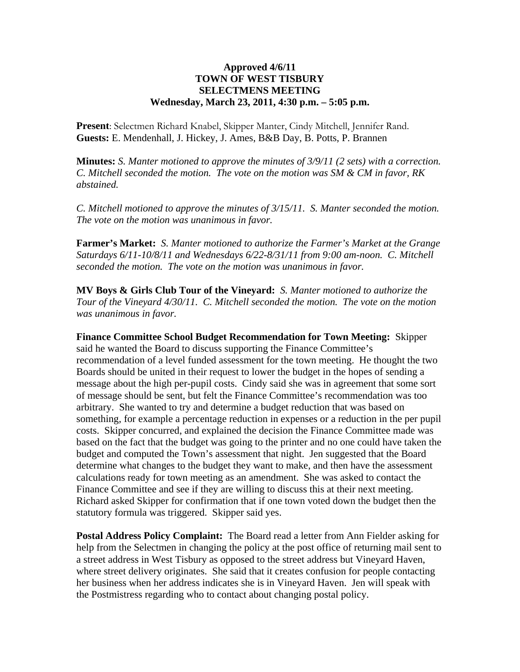## **Approved 4/6/11 TOWN OF WEST TISBURY SELECTMENS MEETING Wednesday, March 23, 2011, 4:30 p.m. – 5:05 p.m.**

**Present**: Selectmen Richard Knabel, Skipper Manter, Cindy Mitchell, Jennifer Rand. **Guests:** E. Mendenhall, J. Hickey, J. Ames, B&B Day, B. Potts, P. Brannen

**Minutes:** *S. Manter motioned to approve the minutes of 3/9/11 (2 sets) with a correction. C. Mitchell seconded the motion. The vote on the motion was SM & CM in favor, RK abstained.* 

*C. Mitchell motioned to approve the minutes of 3/15/11. S. Manter seconded the motion. The vote on the motion was unanimous in favor.*

**Farmer's Market:** *S. Manter motioned to authorize the Farmer's Market at the Grange Saturdays 6/11-10/8/11 and Wednesdays 6/22-8/31/11 from 9:00 am-noon. C. Mitchell seconded the motion. The vote on the motion was unanimous in favor.*

**MV Boys & Girls Club Tour of the Vineyard:** *S. Manter motioned to authorize the Tour of the Vineyard 4/30/11. C. Mitchell seconded the motion. The vote on the motion was unanimous in favor.*

**Finance Committee School Budget Recommendation for Town Meeting:** Skipper said he wanted the Board to discuss supporting the Finance Committee's recommendation of a level funded assessment for the town meeting. He thought the two Boards should be united in their request to lower the budget in the hopes of sending a message about the high per-pupil costs. Cindy said she was in agreement that some sort of message should be sent, but felt the Finance Committee's recommendation was too arbitrary. She wanted to try and determine a budget reduction that was based on something, for example a percentage reduction in expenses or a reduction in the per pupil costs. Skipper concurred, and explained the decision the Finance Committee made was based on the fact that the budget was going to the printer and no one could have taken the budget and computed the Town's assessment that night. Jen suggested that the Board determine what changes to the budget they want to make, and then have the assessment calculations ready for town meeting as an amendment. She was asked to contact the Finance Committee and see if they are willing to discuss this at their next meeting. Richard asked Skipper for confirmation that if one town voted down the budget then the statutory formula was triggered. Skipper said yes.

**Postal Address Policy Complaint:** The Board read a letter from Ann Fielder asking for help from the Selectmen in changing the policy at the post office of returning mail sent to a street address in West Tisbury as opposed to the street address but Vineyard Haven, where street delivery originates. She said that it creates confusion for people contacting her business when her address indicates she is in Vineyard Haven. Jen will speak with the Postmistress regarding who to contact about changing postal policy.